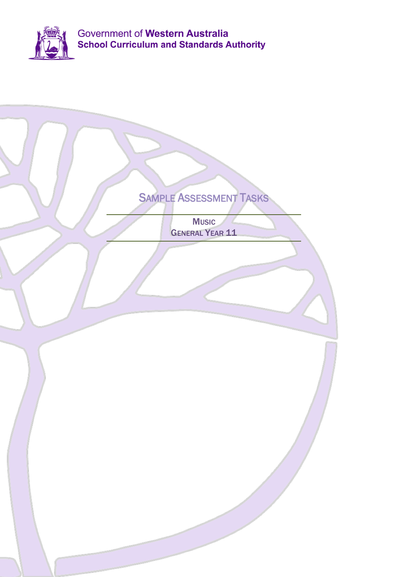

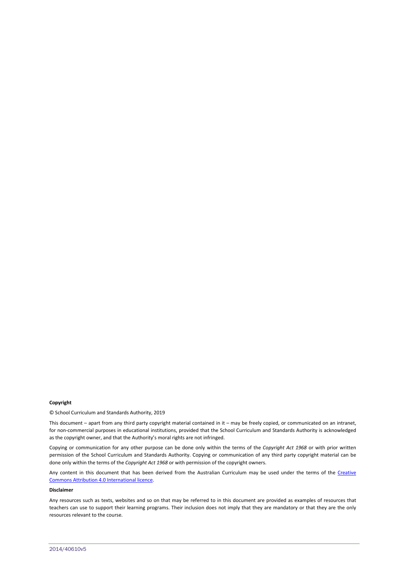#### **Copyright**

© School Curriculum and Standards Authority, 2019

This document – apart from any third party copyright material contained in it – may be freely copied, or communicated on an intranet, for non-commercial purposes in educational institutions, provided that the School Curriculum and Standards Authority is acknowledged as the copyright owner, and that the Authority's moral rights are not infringed.

Copying or communication for any other purpose can be done only within the terms of the *Copyright Act 1968* or with prior written permission of the School Curriculum and Standards Authority. Copying or communication of any third party copyright material can be done only within the terms of the *Copyright Act 1968* or with permission of the copyright owners.

Any content in this document that has been derived from the Australian Curriculum may be used under the terms of the Creative [Commons Attribution 4.0 International licence.](http://creativecommons.org/licenses/by/4.0/)

#### **Disclaimer**

Any resources such as texts, websites and so on that may be referred to in this document are provided as examples of resources that teachers can use to support their learning programs. Their inclusion does not imply that they are mandatory or that they are the only resources relevant to the course.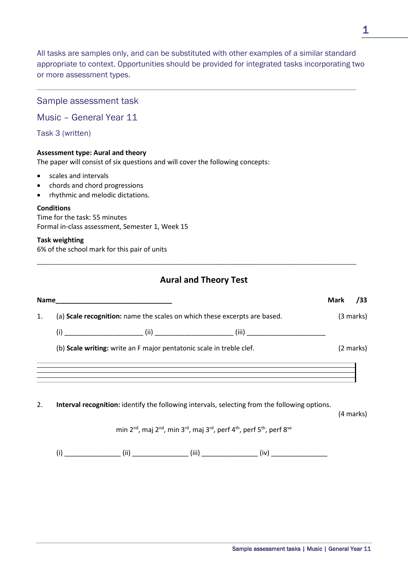All tasks are samples only, and can be substituted with other examples of a similar standard appropriate to context. Opportunities should be provided for integrated tasks incorporating two or more assessment types.

\_\_\_\_\_\_\_\_\_\_\_\_\_\_\_\_\_\_\_\_\_\_\_\_\_\_\_\_\_\_\_\_\_\_\_\_\_\_\_\_\_\_\_\_\_\_\_\_\_\_\_\_\_\_\_\_\_\_\_\_\_\_\_\_\_\_\_\_\_\_\_\_\_\_\_\_\_\_\_\_\_\_\_\_\_\_\_\_\_\_\_\_\_\_\_\_\_\_\_\_\_\_\_\_\_\_\_\_\_\_\_\_\_\_\_\_\_\_\_\_\_\_\_\_\_\_\_\_\_\_\_\_\_

### Sample assessment task

Music – General Year 11

Task 3 (written)

#### **Assessment type: Aural and theory**

The paper will consist of six questions and will cover the following concepts:

- scales and intervals
- chords and chord progressions
- rhythmic and melodic dictations.

#### **Conditions**

Time for the task: 55 minutes Formal in-class assessment, Semester 1, Week 15

#### **Task weighting**

6% of the school mark for this pair of units

# **Aural and Theory Test**

\_\_\_\_\_\_\_\_\_\_\_\_\_\_\_\_\_\_\_\_\_\_\_\_\_\_\_\_\_\_\_\_\_\_\_\_\_\_\_\_\_\_\_\_\_\_\_\_\_\_\_\_\_\_\_\_\_\_\_\_\_\_\_\_\_\_\_\_\_\_\_\_\_\_\_\_\_\_\_\_\_\_\_\_\_\_\_\_\_\_\_\_\_\_\_\_\_\_\_\_\_\_\_\_

|    |                                                                                                                                                                                                                                                                                               | <b>Mark</b> | /33       |
|----|-----------------------------------------------------------------------------------------------------------------------------------------------------------------------------------------------------------------------------------------------------------------------------------------------|-------------|-----------|
| 1. | (a) Scale recognition: name the scales on which these excerpts are based.                                                                                                                                                                                                                     |             | (3 marks) |
|    |                                                                                                                                                                                                                                                                                               |             |           |
|    | (b) Scale writing: write an F major pentatonic scale in treble clef.                                                                                                                                                                                                                          |             | (2 marks) |
|    | ,我们也不会有什么。""我们的人,我们也不会有什么?""我们的人,我们也不会有什么?""我们的人,我们也不会有什么?""我们的人,我们也不会有什么?""我们的人<br>,我们也不会有什么。""我们的人,我们也不会有什么?""我们的人,我们也不会有什么?""我们的人,我们也不会有什么?""我们的人,我们也不会有什么?""我们的人<br><u> 1989 - Jan Samuel Barbara, margaret eta batean batean batean batean batean batean batean batean batean batean</u> |             |           |
| 2. | Interval recognition: identify the following intervals, selecting from the following options.                                                                                                                                                                                                 |             | (4 marks) |
|    | min 2 <sup>nd</sup> , maj 2 <sup>nd</sup> , min 3 <sup>rd</sup> , maj 3 <sup>rd</sup> , perf 4 <sup>th</sup> , perf 5 <sup>th</sup> , perf 8 <sup>ve</sup>                                                                                                                                    |             |           |
|    | (i)                                                                                                                                                                                                                                                                                           |             |           |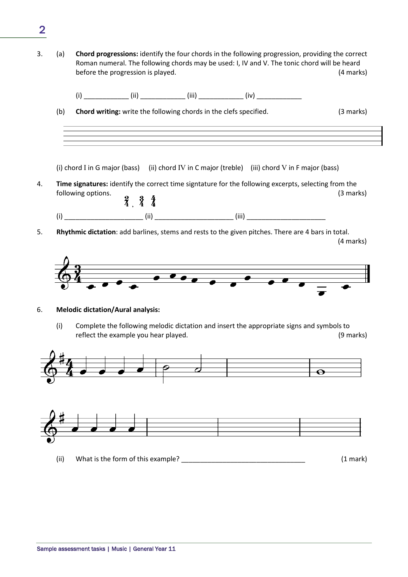- 3. (a) **Chord progressions:** identify the four chords in the following progression, providing the correct Roman numeral. The following chords may be used: I, IV and V. The tonic chord will be heard before the progression is played. (4 marks)
- (i)  $(i)$   $(ii)$   $(iii)$   $(iv)$ (b) **Chord writing:** write the following chords in the clefs specified. (3 marks) (i) chord I in G major (bass) (ii) chord IV in C major (treble) (iii) chord V in F major (bass) 4. **Time signatures:** identify the correct time signtature for the following excerpts, selecting from the following options.  $\begin{array}{cc} 2 & 3 & 4 \\ 4 & 4 & 4 \end{array}$  (3 marks) (i) \_\_\_\_\_\_\_\_\_\_\_\_\_\_\_\_\_\_\_\_\_ (ii) \_\_\_\_\_\_\_\_\_\_\_\_\_\_\_\_\_\_\_\_\_ (iii) \_\_\_\_\_\_\_\_\_\_\_\_\_\_\_\_\_\_\_\_\_
- 5. **Rhythmic dictation**: add barlines, stems and rests to the given pitches. There are 4 bars in total.

(4 marks)



#### 6. **Melodic dictation/Aural analysis:**

(i) Complete the following melodic dictation and insert the appropriate signs and symbols to reflect the example you hear played. The same of the example you hear played.



(ii) What is the form of this example?  $(1 \text{ mark})$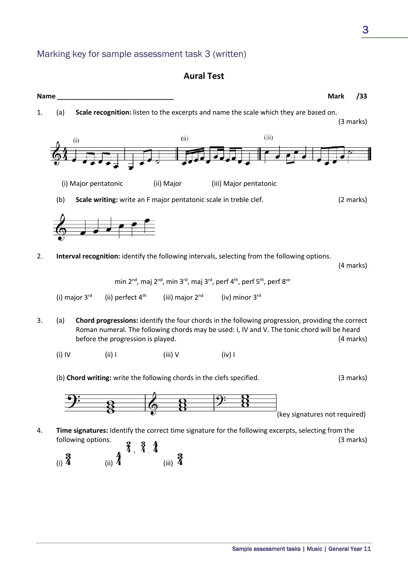Marking key for sample assessment task 3 (written)

(i)  $\frac{3}{4}$  (ii)  $\frac{4}{4}$  (iii)  $\frac{3}{4}$ 

# **Aural Test**

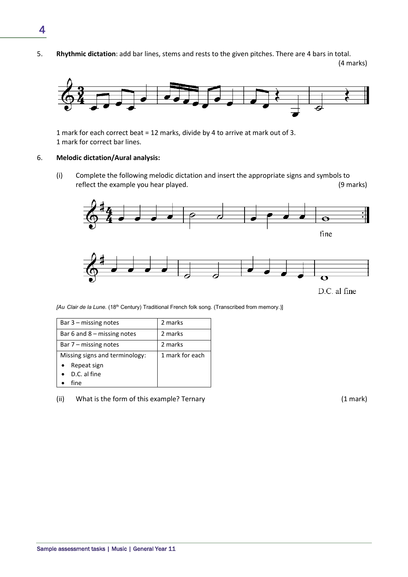5. **Rhythmic dictation**: add bar lines, stems and rests to the given pitches. There are 4 bars in total.

(4 marks)



1 mark for each correct beat = 12 marks, divide by 4 to arrive at mark out of 3. 1 mark for correct bar lines.

#### 6. **Melodic dictation/Aural analysis:**

(i) Complete the following melodic dictation and insert the appropriate signs and symbols to reflect the example you hear played. The same of the example you hear played.



*[Au Clair de la Lune.* (18th Century) Traditional French folk song. (Transcribed from memory.)]

| Bar $3$ – missing notes        | 2 marks         |
|--------------------------------|-----------------|
| Bar 6 and $8 -$ missing notes  | 2 marks         |
| Bar $7$ – missing notes        | 2 marks         |
| Missing signs and terminology: | 1 mark for each |
| Repeat sign                    |                 |
| D.C. al fine                   |                 |
| fine                           |                 |

(ii) What is the form of this example? Ternary (1 mark)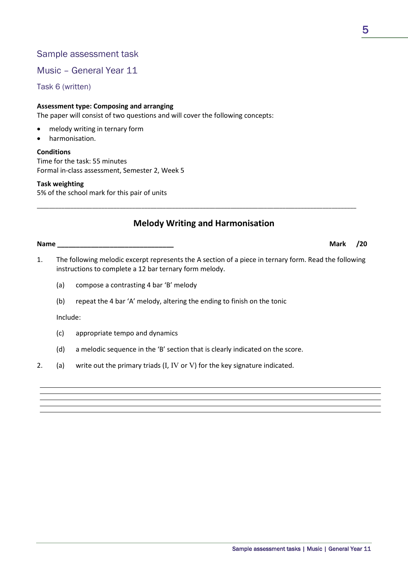### Music – General Year 11

Task 6 (written)

#### **Assessment type: Composing and arranging**

The paper will consist of two questions and will cover the following concepts:

- melody writing in ternary form
- harmonisation.

#### **Conditions**

Time for the task: 55 minutes Formal in-class assessment, Semester 2, Week 5

#### **Task weighting**

5% of the school mark for this pair of units

### **Melody Writing and Harmonisation**

\_\_\_\_\_\_\_\_\_\_\_\_\_\_\_\_\_\_\_\_\_\_\_\_\_\_\_\_\_\_\_\_\_\_\_\_\_\_\_\_\_\_\_\_\_\_\_\_\_\_\_\_\_\_\_\_\_\_\_\_\_\_\_\_\_\_\_\_\_\_\_\_\_\_\_\_\_\_\_\_\_\_\_\_\_\_\_\_\_\_\_\_\_\_\_\_\_\_\_\_\_\_\_\_

**Name \_\_\_\_\_\_\_\_\_\_\_\_\_\_\_\_\_\_\_\_\_\_\_\_\_\_\_\_\_\_\_ Mark /20**

- 1. The following melodic excerpt represents the A section of a piece in ternary form. Read the following instructions to complete a 12 bar ternary form melody.
	- (a) compose a contrasting 4 bar 'B' melody
	- (b) repeat the 4 bar 'A' melody, altering the ending to finish on the tonic

Include:

- (c) appropriate tempo and dynamics
- (d) a melodic sequence in the 'B' section that is clearly indicated on the score.
- 2. (a) write out the primary triads  $(I, IV, or V)$  for the key signature indicated.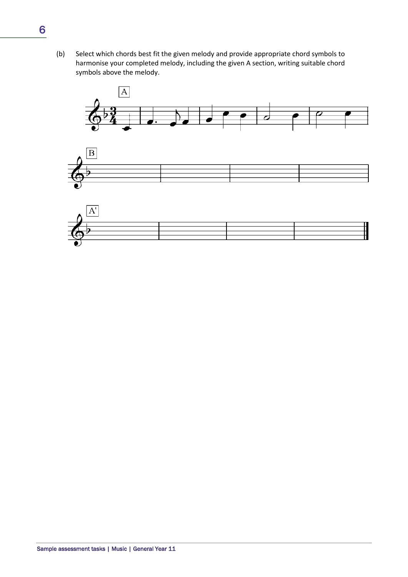(b) Select which chords best fit the given melody and provide appropriate chord symbols to harmonise your completed melody, including the given A section, writing suitable chord symbols above the melody.

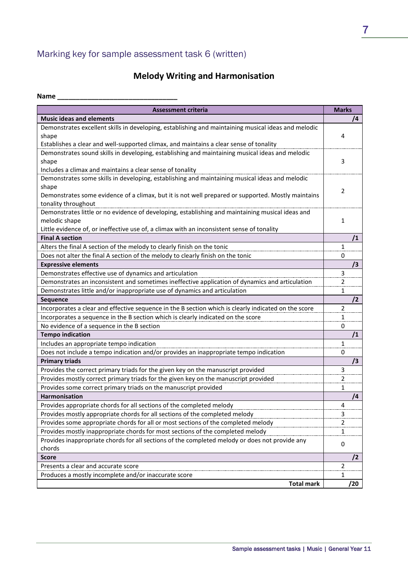# Marking key for sample assessment task 6 (written)

# **Melody Writing and Harmonisation**

| Name |  |  |  |  |  |  |  |  |  |
|------|--|--|--|--|--|--|--|--|--|
|      |  |  |  |  |  |  |  |  |  |

| <b>Assessment criteria</b>                                                                           | <b>Marks</b>   |
|------------------------------------------------------------------------------------------------------|----------------|
| <b>Music ideas and elements</b>                                                                      | /4             |
| Demonstrates excellent skills in developing, establishing and maintaining musical ideas and melodic  |                |
| shape                                                                                                | 4              |
| Establishes a clear and well-supported climax, and maintains a clear sense of tonality               |                |
| Demonstrates sound skills in developing, establishing and maintaining musical ideas and melodic      |                |
| shape                                                                                                | 3              |
| Includes a climax and maintains a clear sense of tonality                                            |                |
| Demonstrates some skills in developing, establishing and maintaining musical ideas and melodic       |                |
| shape                                                                                                | 2              |
| Demonstrates some evidence of a climax, but it is not well prepared or supported. Mostly maintains   |                |
| tonality throughout                                                                                  |                |
| Demonstrates little or no evidence of developing, establishing and maintaining musical ideas and     |                |
| melodic shape                                                                                        | 1              |
| Little evidence of, or ineffective use of, a climax with an inconsistent sense of tonality           |                |
| <b>Final A section</b>                                                                               | /1             |
| Alters the final A section of the melody to clearly finish on the tonic                              | 1              |
| Does not alter the final A section of the melody to clearly finish on the tonic                      | 0              |
| <b>Expressive elements</b>                                                                           | /3             |
| Demonstrates effective use of dynamics and articulation                                              | 3              |
| Demonstrates an inconsistent and sometimes ineffective application of dynamics and articulation      | $\overline{2}$ |
| Demonstrates little and/or inappropriate use of dynamics and articulation                            | 1              |
| Sequence                                                                                             | /2             |
| Incorporates a clear and effective sequence in the B section which is clearly indicated on the score | $\overline{2}$ |
| Incorporates a sequence in the B section which is clearly indicated on the score                     | 1              |
| No evidence of a sequence in the B section                                                           | 0              |
| <b>Tempo indication</b>                                                                              | /1             |
| Includes an appropriate tempo indication                                                             | $\mathbf{1}$   |
| Does not include a tempo indication and/or provides an inappropriate tempo indication                | 0              |
| <b>Primary triads</b>                                                                                | /3             |
| Provides the correct primary triads for the given key on the manuscript provided                     | 3              |
| Provides mostly correct primary triads for the given key on the manuscript provided                  | 2              |
| Provides some correct primary triads on the manuscript provided                                      | 1              |
| <b>Harmonisation</b>                                                                                 | /4             |
| Provides appropriate chords for all sections of the completed melody                                 | 4              |
| Provides mostly appropriate chords for all sections of the completed melody                          | 3              |
| Provides some appropriate chords for all or most sections of the completed melody                    | $\overline{2}$ |
| Provides mostly inappropriate chords for most sections of the completed melody                       | 1              |
| Provides inappropriate chords for all sections of the completed melody or does not provide any       | 0              |
| chords                                                                                               |                |
| <b>Score</b>                                                                                         | /2             |
| Presents a clear and accurate score                                                                  | $\overline{2}$ |
| Produces a mostly incomplete and/or inaccurate score                                                 | 1              |
| <b>Total mark</b>                                                                                    | /20            |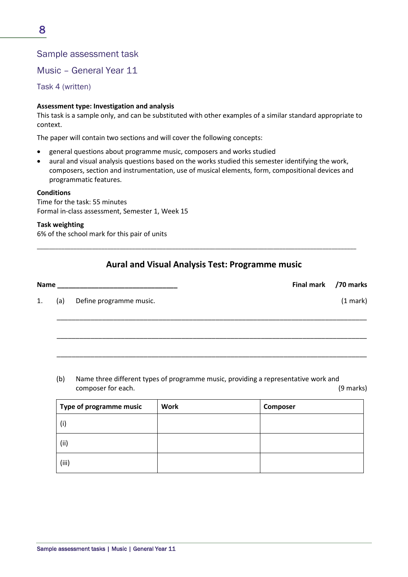Music – General Year 11

Task 4 (written)

#### **Assessment type: Investigation and analysis**

This task is a sample only, and can be substituted with other examples of a similar standard appropriate to context.

The paper will contain two sections and will cover the following concepts:

- general questions about programme music, composers and works studied
- aural and visual analysis questions based on the works studied this semester identifying the work, composers, section and instrumentation, use of musical elements, form, compositional devices and programmatic features.

#### **Conditions**

Time for the task: 55 minutes Formal in-class assessment, Semester 1, Week 15

#### **Task weighting**

6% of the school mark for this pair of units

### **Aural and Visual Analysis Test: Programme music**

\_\_\_\_\_\_\_\_\_\_\_\_\_\_\_\_\_\_\_\_\_\_\_\_\_\_\_\_\_\_\_\_\_\_\_\_\_\_\_\_\_\_\_\_\_\_\_\_\_\_\_\_\_\_\_\_\_\_\_\_\_\_\_\_\_\_\_\_\_\_\_\_\_\_\_\_\_\_\_\_\_\_\_\_\_\_\_\_\_\_\_\_\_\_\_\_\_\_\_\_\_\_\_\_

| Name |     | <u> 1980 - Jan Jan Jawa Barat, masjid a shekara 1980 - Ang Pangangan ng Pangangang Pangangang Pangangang Pangangang Pangangang Pangangang Pangangang Pangangang Pangangang Pangangang Pangangang Pangangang Pangangang Pangangan</u> | Final mark /70 marks |            |  |  |
|------|-----|--------------------------------------------------------------------------------------------------------------------------------------------------------------------------------------------------------------------------------------|----------------------|------------|--|--|
| 1.   | (a) | Define programme music.                                                                                                                                                                                                              |                      | $(1$ mark) |  |  |
|      |     |                                                                                                                                                                                                                                      |                      |            |  |  |
|      |     |                                                                                                                                                                                                                                      |                      |            |  |  |
|      |     |                                                                                                                                                                                                                                      |                      |            |  |  |

(b) Name three different types of programme music, providing a representative work and composer for each. (9 marks)

| Type of programme music | <b>Work</b> | Composer |
|-------------------------|-------------|----------|
| (i)                     |             |          |
| (i)                     |             |          |
| (iii)                   |             |          |

8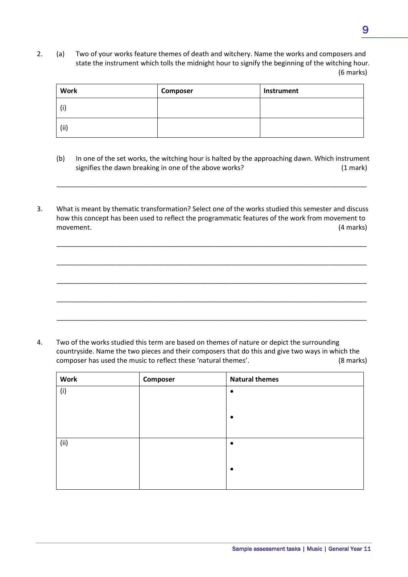2. (a) Two of your works feature themes of death and witchery. Name the works and composers and state the instrument which tolls the midnight hour to signify the beginning of the witching hour. (6 marks)

| <b>Work</b> | Composer | Instrument |
|-------------|----------|------------|
| (i)         |          |            |
| (ii)        |          |            |

(b) In one of the set works, the witching hour is halted by the approaching dawn. Which instrument signifies the dawn breaking in one of the above works? (1 mark)

\_\_\_\_\_\_\_\_\_\_\_\_\_\_\_\_\_\_\_\_\_\_\_\_\_\_\_\_\_\_\_\_\_\_\_\_\_\_\_\_\_\_\_\_\_\_\_\_\_\_\_\_\_\_\_\_\_\_\_\_\_\_\_\_\_\_\_\_\_\_\_\_\_\_\_\_\_\_\_\_\_\_

\_\_\_\_\_\_\_\_\_\_\_\_\_\_\_\_\_\_\_\_\_\_\_\_\_\_\_\_\_\_\_\_\_\_\_\_\_\_\_\_\_\_\_\_\_\_\_\_\_\_\_\_\_\_\_\_\_\_\_\_\_\_\_\_\_\_\_\_\_\_\_\_\_\_\_\_\_\_\_\_\_\_

\_\_\_\_\_\_\_\_\_\_\_\_\_\_\_\_\_\_\_\_\_\_\_\_\_\_\_\_\_\_\_\_\_\_\_\_\_\_\_\_\_\_\_\_\_\_\_\_\_\_\_\_\_\_\_\_\_\_\_\_\_\_\_\_\_\_\_\_\_\_\_\_\_\_\_\_\_\_\_\_\_\_

\_\_\_\_\_\_\_\_\_\_\_\_\_\_\_\_\_\_\_\_\_\_\_\_\_\_\_\_\_\_\_\_\_\_\_\_\_\_\_\_\_\_\_\_\_\_\_\_\_\_\_\_\_\_\_\_\_\_\_\_\_\_\_\_\_\_\_\_\_\_\_\_\_\_\_\_\_\_\_\_\_\_

\_\_\_\_\_\_\_\_\_\_\_\_\_\_\_\_\_\_\_\_\_\_\_\_\_\_\_\_\_\_\_\_\_\_\_\_\_\_\_\_\_\_\_\_\_\_\_\_\_\_\_\_\_\_\_\_\_\_\_\_\_\_\_\_\_\_\_\_\_\_\_\_\_\_\_\_\_\_\_\_\_\_

\_\_\_\_\_\_\_\_\_\_\_\_\_\_\_\_\_\_\_\_\_\_\_\_\_\_\_\_\_\_\_\_\_\_\_\_\_\_\_\_\_\_\_\_\_\_\_\_\_\_\_\_\_\_\_\_\_\_\_\_\_\_\_\_\_\_\_\_\_\_\_\_\_\_\_\_\_\_\_\_\_\_

3. What is meant by thematic transformation? Select one of the works studied this semester and discuss how this concept has been used to reflect the programmatic features of the work from movement to movement. (4 marks)

4. Two of the works studied this term are based on themes of nature or depict the surrounding countryside. Name the two pieces and their composers that do this and give two ways in which the composer has used the music to reflect these 'natural themes'. (8 marks)

| <b>Work</b> | Composer | <b>Natural themes</b> |
|-------------|----------|-----------------------|
| (i)         |          | $\bullet$             |
|             |          |                       |
|             |          | $\bullet$             |
|             |          |                       |
| (ii)        |          | $\bullet$             |
|             |          |                       |
|             |          | $\bullet$             |
|             |          |                       |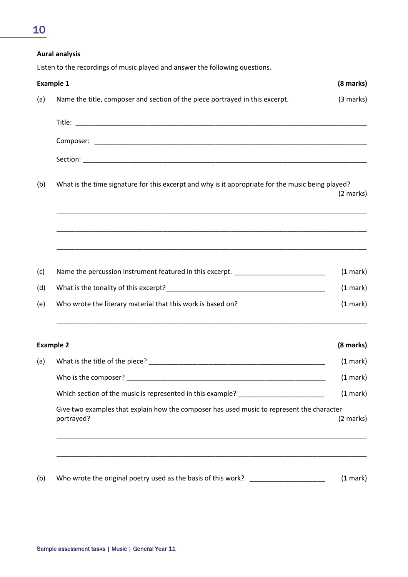# 10

|     | <b>Aural analysis</b>                                                                                                                                                                                                      |                     |
|-----|----------------------------------------------------------------------------------------------------------------------------------------------------------------------------------------------------------------------------|---------------------|
|     | Listen to the recordings of music played and answer the following questions.                                                                                                                                               |                     |
|     | <b>Example 1</b>                                                                                                                                                                                                           | (8 marks)           |
| (a) | Name the title, composer and section of the piece portrayed in this excerpt.                                                                                                                                               | (3 marks)           |
|     |                                                                                                                                                                                                                            |                     |
|     |                                                                                                                                                                                                                            |                     |
|     |                                                                                                                                                                                                                            |                     |
| (b) | What is the time signature for this excerpt and why is it appropriate for the music being played?<br><u> 1989 - Johann Harry Harry Harry Harry Harry Harry Harry Harry Harry Harry Harry Harry Harry Harry Harry Harry</u> | $(2 \text{ marks})$ |
|     | <u> 1989 - Johann Harry Harry Harry Harry Harry Harry Harry Harry Harry Harry Harry Harry Harry Harry Harry Harry</u>                                                                                                      |                     |
| (c) | Name the percussion instrument featured in this excerpt. _______________________                                                                                                                                           | (1 mark)            |
| (d) |                                                                                                                                                                                                                            | (1 mark)            |
| (e) | Who wrote the literary material that this work is based on?                                                                                                                                                                | (1 mark)            |
|     | <b>Example 2</b>                                                                                                                                                                                                           | (8 marks)           |
| (a) |                                                                                                                                                                                                                            | (1 mark)            |
|     |                                                                                                                                                                                                                            | (1 mark)            |
|     | Which section of the music is represented in this example? ______________________                                                                                                                                          | (1 mark)            |
|     | Give two examples that explain how the composer has used music to represent the character<br>portrayed?                                                                                                                    | (2 marks)           |
|     |                                                                                                                                                                                                                            |                     |

(b) Who wrote the original poetry used as the basis of this work? \_\_\_\_\_\_\_\_\_\_\_\_\_\_\_\_\_\_\_\_\_\_\_\_\_\_\_\_\_\_\_ (1 mark)

\_\_\_\_\_\_\_\_\_\_\_\_\_\_\_\_\_\_\_\_\_\_\_\_\_\_\_\_\_\_\_\_\_\_\_\_\_\_\_\_\_\_\_\_\_\_\_\_\_\_\_\_\_\_\_\_\_\_\_\_\_\_\_\_\_\_\_\_\_\_\_\_\_\_\_\_\_\_\_\_\_\_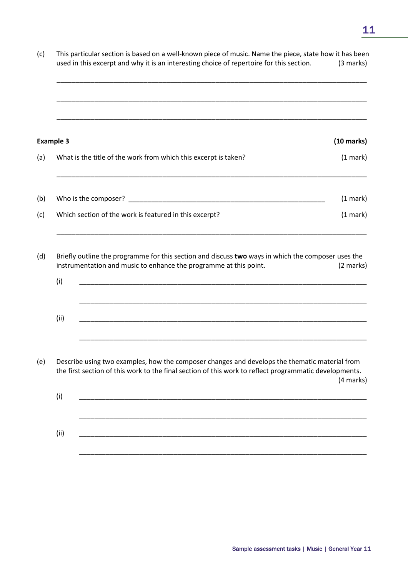| This particular section is based on a well-known piece of music. Name the piece, state how it has been<br>used in this excerpt and why it is an interesting choice of repertoire for this section. |                                                                                                                                                                                                                                                                                                                       |  |  |  |  |  |  |  |
|----------------------------------------------------------------------------------------------------------------------------------------------------------------------------------------------------|-----------------------------------------------------------------------------------------------------------------------------------------------------------------------------------------------------------------------------------------------------------------------------------------------------------------------|--|--|--|--|--|--|--|
|                                                                                                                                                                                                    |                                                                                                                                                                                                                                                                                                                       |  |  |  |  |  |  |  |
| <b>Example 3</b>                                                                                                                                                                                   | $(10 \text{ marks})$                                                                                                                                                                                                                                                                                                  |  |  |  |  |  |  |  |
| What is the title of the work from which this excerpt is taken?                                                                                                                                    | (1 mark)                                                                                                                                                                                                                                                                                                              |  |  |  |  |  |  |  |
|                                                                                                                                                                                                    | (1 mark)                                                                                                                                                                                                                                                                                                              |  |  |  |  |  |  |  |
| Which section of the work is featured in this excerpt?                                                                                                                                             | (1 mark)                                                                                                                                                                                                                                                                                                              |  |  |  |  |  |  |  |
| instrumentation and music to enhance the programme at this point.<br>(i)                                                                                                                           | (2 marks)                                                                                                                                                                                                                                                                                                             |  |  |  |  |  |  |  |
|                                                                                                                                                                                                    |                                                                                                                                                                                                                                                                                                                       |  |  |  |  |  |  |  |
|                                                                                                                                                                                                    | (4 marks)                                                                                                                                                                                                                                                                                                             |  |  |  |  |  |  |  |
| (i)                                                                                                                                                                                                |                                                                                                                                                                                                                                                                                                                       |  |  |  |  |  |  |  |
| (ii)<br>and the control of the control of the control of the control of the control of the control of the control of the                                                                           |                                                                                                                                                                                                                                                                                                                       |  |  |  |  |  |  |  |
|                                                                                                                                                                                                    | Briefly outline the programme for this section and discuss two ways in which the composer uses the<br>(ii)<br>Describe using two examples, how the composer changes and develops the thematic material from<br>the first section of this work to the final section of this work to reflect programmatic developments. |  |  |  |  |  |  |  |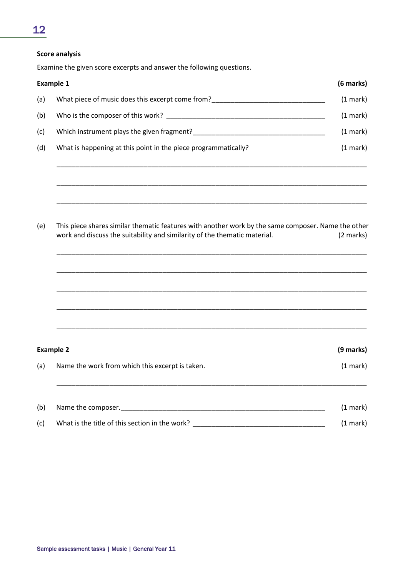#### **Score analysis**

Examine the given score excerpts and answer the following questions.

|     | <b>Example 1</b>                                                                                                                                                                | (6 marks) |  |  |  |  |  |
|-----|---------------------------------------------------------------------------------------------------------------------------------------------------------------------------------|-----------|--|--|--|--|--|
| (a) | What piece of music does this excerpt come from?________________________________                                                                                                |           |  |  |  |  |  |
| (b) |                                                                                                                                                                                 |           |  |  |  |  |  |
| (c) |                                                                                                                                                                                 | (1 mark)  |  |  |  |  |  |
| (d) | What is happening at this point in the piece programmatically?                                                                                                                  | (1 mark)  |  |  |  |  |  |
| (e) | This piece shares similar thematic features with another work by the same composer. Name the other<br>work and discuss the suitability and similarity of the thematic material. | (2 marks) |  |  |  |  |  |
|     | <b>Example 2</b>                                                                                                                                                                | (9 marks) |  |  |  |  |  |
| (a) | Name the work from which this excerpt is taken.                                                                                                                                 | (1 mark)  |  |  |  |  |  |
| (b) |                                                                                                                                                                                 | (1 mark)  |  |  |  |  |  |
| (c) | What is the title of this section in the work?                                                                                                                                  | (1 mark)  |  |  |  |  |  |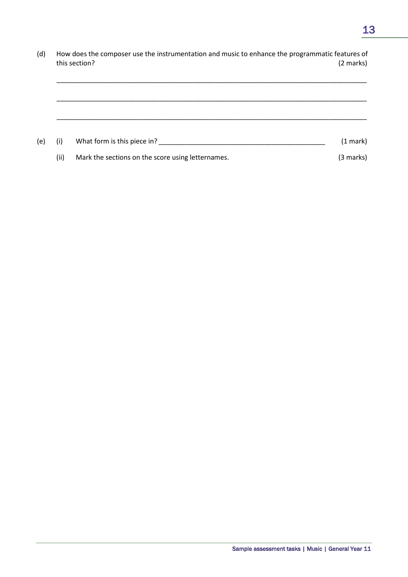(d) How does the composer use the instrumentation and music to enhance the programmatic features of this section? (2 marks)

\_\_\_\_\_\_\_\_\_\_\_\_\_\_\_\_\_\_\_\_\_\_\_\_\_\_\_\_\_\_\_\_\_\_\_\_\_\_\_\_\_\_\_\_\_\_\_\_\_\_\_\_\_\_\_\_\_\_\_\_\_\_\_\_\_\_\_\_\_\_\_\_\_\_\_\_\_\_\_\_\_\_

| (e) | (i)  | What form is this piece in?                       | (1 mark)  |
|-----|------|---------------------------------------------------|-----------|
|     | (ii) | Mark the sections on the score using letternames. | (3 marks) |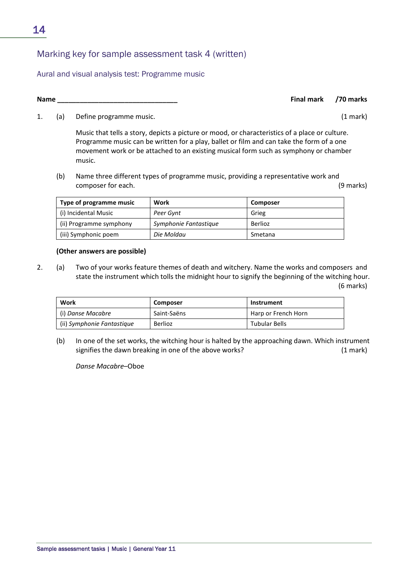# Sample assessment tasks | Music | General Year 11

# Marking key for sample assessment task 4 (written)

Aural and visual analysis test: Programme music

1. (a) Define programme music. (1 mark)

Music that tells a story, depicts a picture or mood, or characteristics of a place or culture. Programme music can be written for a play, ballet or film and can take the form of a one movement work or be attached to an existing musical form such as symphony or chamber music.

(b) Name three different types of programme music, providing a representative work and composer for each. (9 marks)

| Type of programme music | Work                  | Composer |
|-------------------------|-----------------------|----------|
| (i) Incidental Music    | Peer Gynt             | Grieg    |
| (ii) Programme symphony | Symphonie Fantastique | Berlioz  |
| (iii) Symphonic poem    | Die Moldau            | Smetana  |

#### **(Other answers are possible)**

2. (a) Two of your works feature themes of death and witchery. Name the works and composers and state the instrument which tolls the midnight hour to signify the beginning of the witching hour. (6 marks)

| Work                       | Composer    | Instrument           |
|----------------------------|-------------|----------------------|
| (i) Danse Macabre          | Saint-Saëns | Harp or French Horn  |
| (ii) Symphonie Fantastique | Berlioz     | <b>Tubular Bells</b> |

(b) In one of the set works, the witching hour is halted by the approaching dawn. Which instrument signifies the dawn breaking in one of the above works? (1 mark)

*Danse Macabre*–Oboe

**Name \_\_\_\_\_\_\_\_\_\_\_\_\_\_\_\_\_\_\_\_\_\_\_\_\_\_\_\_\_\_\_\_ Final mark /70 marks**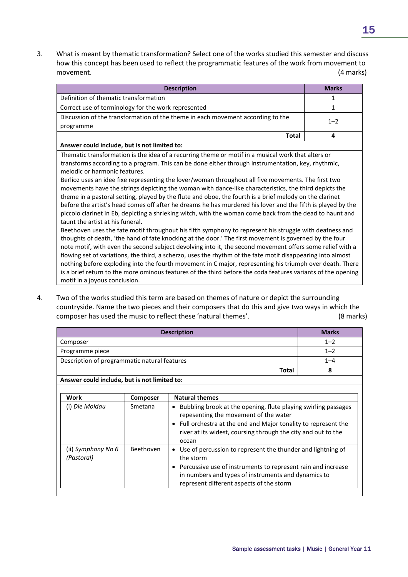3. What is meant by thematic transformation? Select one of the works studied this semester and discuss how this concept has been used to reflect the programmatic features of the work from movement to movement. (4 marks)

| <b>Description</b>                                                                                           | <b>Marks</b> |  |
|--------------------------------------------------------------------------------------------------------------|--------------|--|
| Definition of thematic transformation                                                                        | 1            |  |
| Correct use of terminology for the work represented                                                          | 1            |  |
| Discussion of the transformation of the theme in each movement according to the                              | $1 - 2$      |  |
| programme                                                                                                    |              |  |
| <b>Total</b>                                                                                                 | 4            |  |
| Answer could include, but is not limited to:                                                                 |              |  |
| Thematic transformation is the idea of a recurring theme or motif in a musical work that alters or           |              |  |
| transforms according to a program. This can be done either through instrumentation, key, rhythmic,           |              |  |
| melodic or harmonic features.                                                                                |              |  |
| Berlioz uses an idee fixe representing the lover/woman throughout all five movements. The first two          |              |  |
| movements have the strings depicting the woman with dance-like characteristics, the third depicts the        |              |  |
| theme in a pastoral setting, played by the flute and oboe, the fourth is a brief melody on the clarinet      |              |  |
| before the artist's head comes off after he dreams he has murdered his lover and the fifth is played by the  |              |  |
| piccolo clarinet in Eb, depicting a shrieking witch, with the woman come back from the dead to haunt and     |              |  |
| taunt the artist at his funeral.                                                                             |              |  |
| Beethoven uses the fate motif throughout his fifth symphony to represent his struggle with deafness and      |              |  |
| thoughts of death, 'the hand of fate knocking at the door.' The first movement is governed by the four       |              |  |
| note motif, with even the second subject devolving into it, the second movement offers some relief with a    |              |  |
| flowing set of variations, the third, a scherzo, uses the rhythm of the fate motif disappearing into almost  |              |  |
| nothing before exploding into the fourth movement in C major, representing his triumph over death. There     |              |  |
| is a brief return to the more ominous features of the third before the coda features variants of the opening |              |  |
| motif in a joyous conclusion.                                                                                |              |  |

4. Two of the works studied this term are based on themes of nature or depict the surrounding countryside. Name the two pieces and their composers that do this and give two ways in which the composer has used the music to reflect these 'natural themes'. (8 marks)

| <b>Description</b>                           | <b>Marks</b> |
|----------------------------------------------|--------------|
| Composer                                     | $1 - 2$      |
| Programme piece                              | $1 - 2$      |
| Description of programmatic natural features | $1 - 4$      |
| <b>Total</b>                                 |              |
| Answer could include, but is not limited to: |              |

| Work                             | Composer  | <b>Natural themes</b>                                                                                                                                                                                                                                             |
|----------------------------------|-----------|-------------------------------------------------------------------------------------------------------------------------------------------------------------------------------------------------------------------------------------------------------------------|
| (i) Die Moldau                   | Smetana   | Bubbling brook at the opening, flute playing swirling passages<br>$\bullet$<br>repesenting the movement of the water<br>• Full orchestra at the end and Major tonality to represent the<br>river at its widest, coursing through the city and out to the<br>ocean |
|                                  | Beethoven |                                                                                                                                                                                                                                                                   |
| (ii) Symphony No 6<br>(Pastoral) |           | • Use of percussion to represent the thunder and lightning of<br>the storm                                                                                                                                                                                        |
|                                  |           | Percussive use of instruments to represent rain and increase<br>in numbers and types of instruments and dynamics to<br>represent different aspects of the storm                                                                                                   |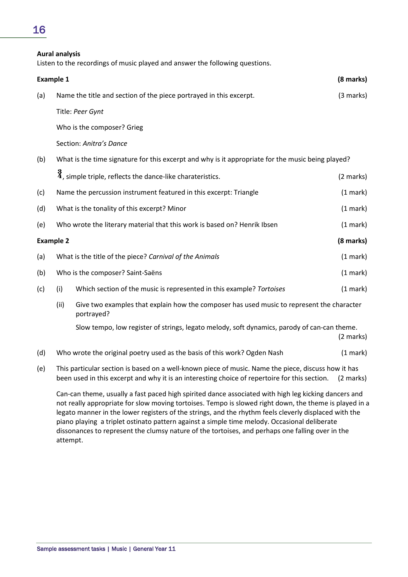# 16

#### **Aural analysis**

Listen to the recordings of music played and answer the following questions.

| <b>Example 1</b> |                               |                                                                                                                                                                                                      | (8 marks) |
|------------------|-------------------------------|------------------------------------------------------------------------------------------------------------------------------------------------------------------------------------------------------|-----------|
| (a)              |                               | Name the title and section of the piece portrayed in this excerpt.                                                                                                                                   | (3 marks) |
|                  |                               | Title: Peer Gynt                                                                                                                                                                                     |           |
|                  |                               | Who is the composer? Grieg                                                                                                                                                                           |           |
|                  |                               | Section: Anitra's Dance                                                                                                                                                                              |           |
| (b)              |                               | What is the time signature for this excerpt and why is it appropriate for the music being played?                                                                                                    |           |
|                  |                               | $\frac{3}{4}$ , simple triple, reflects the dance-like charateristics.                                                                                                                               | (2 marks) |
| (c)              |                               | Name the percussion instrument featured in this excerpt: Triangle                                                                                                                                    | (1 mark)  |
| (d)              |                               | What is the tonality of this excerpt? Minor                                                                                                                                                          | (1 mark)  |
| (e)              |                               | Who wrote the literary material that this work is based on? Henrik Ibsen                                                                                                                             | (1 mark)  |
|                  | (8 marks)<br><b>Example 2</b> |                                                                                                                                                                                                      |           |
| (a)              |                               | What is the title of the piece? Carnival of the Animals                                                                                                                                              | (1 mark)  |
| (b)              |                               | Who is the composer? Saint-Saëns                                                                                                                                                                     | (1 mark)  |
| (c)              | (i)                           | Which section of the music is represented in this example? Tortoises                                                                                                                                 | (1 mark)  |
|                  | (ii)                          | Give two examples that explain how the composer has used music to represent the character<br>portrayed?                                                                                              |           |
|                  |                               | Slow tempo, low register of strings, legato melody, soft dynamics, parody of can-can theme.                                                                                                          | (2 marks) |
| (d)              |                               | Who wrote the original poetry used as the basis of this work? Ogden Nash                                                                                                                             | (1 mark)  |
| (e)              |                               | This particular section is based on a well-known piece of music. Name the piece, discuss how it has<br>been used in this excerpt and why it is an interesting choice of repertoire for this section. | (2 marks) |

Can-can theme, usually a fast paced high spirited dance associated with high leg kicking dancers and not really appropriate for slow moving tortoises. Tempo is slowed right down, the theme is played in a legato manner in the lower registers of the strings, and the rhythm feels cleverly displaced with the piano playing a triplet ostinato pattern against a simple time melody. Occasional deliberate dissonances to represent the clumsy nature of the tortoises, and perhaps one falling over in the attempt.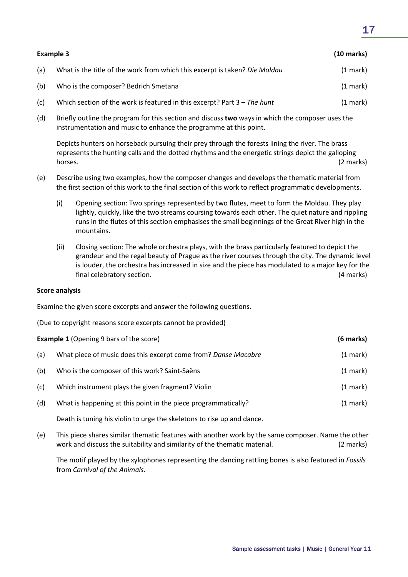| Example 3 |                                                                            | $(10 \text{ marks})$ |
|-----------|----------------------------------------------------------------------------|----------------------|
| (a)       | What is the title of the work from which this excerpt is taken? Die Moldau | (1 mark)             |
| (b)       | Who is the composer? Bedrich Smetana                                       | (1 mark)             |
| (c)       | Which section of the work is featured in this excerpt? Part $3$ – The hunt | (1 mark)             |

(d) Briefly outline the program for this section and discuss **two** ways in which the composer uses the instrumentation and music to enhance the programme at this point.

Depicts hunters on horseback pursuing their prey through the forests lining the river. The brass represents the hunting calls and the dotted rhythms and the energetic strings depict the galloping horses. (2 marks)

- (e) Describe using two examples, how the composer changes and develops the thematic material from the first section of this work to the final section of this work to reflect programmatic developments.
	- (i) Opening section: Two springs represented by two flutes, meet to form the Moldau. They play lightly, quickly, like the two streams coursing towards each other. The quiet nature and rippling runs in the flutes of this section emphasises the small beginnings of the Great River high in the mountains.
	- (ii) Closing section: The whole orchestra plays, with the brass particularly featured to depict the grandeur and the regal beauty of Prague as the river courses through the city. The dynamic level is louder, the orchestra has increased in size and the piece has modulated to a major key for the final celebratory section. (4 marks)

#### **Score analysis**

Examine the given score excerpts and answer the following questions.

(Due to copyright reasons score excerpts cannot be provided)

| <b>Example 1 (Opening 9 bars of the score)</b> |                                                                |                    |
|------------------------------------------------|----------------------------------------------------------------|--------------------|
| (a)                                            | What piece of music does this excerpt come from? Danse Macabre | $(1 \text{ mark})$ |
| (b)                                            | Who is the composer of this work? Saint-Saëns                  | $(1 \text{ mark})$ |
| (c)                                            | Which instrument plays the given fragment? Violin              | (1 mark)           |
| (d)                                            | What is happening at this point in the piece programmatically? | (1 mark)           |
|                                                |                                                                |                    |

Death is tuning his violin to urge the skeletons to rise up and dance.

(e) This piece shares similar thematic features with another work by the same composer. Name the other work and discuss the suitability and similarity of the thematic material. (2 marks)

The motif played by the xylophones representing the dancing rattling bones is also featured in *Fossils* from *Carnival of the Animals.*

# 17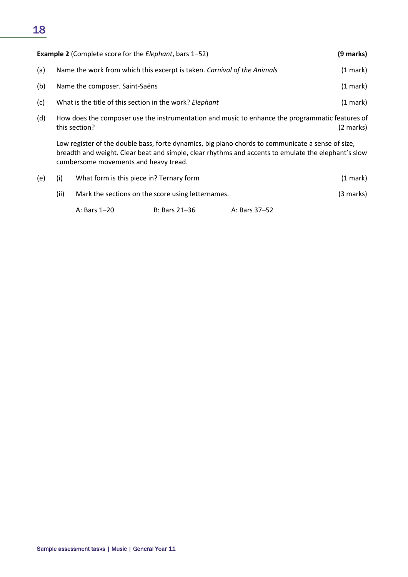# 18

| <b>Example 2</b> (Complete score for the <i>Elephant</i> , bars 1–52) |                                                                         | (9 marks) |
|-----------------------------------------------------------------------|-------------------------------------------------------------------------|-----------|
| (a)                                                                   | Name the work from which this excerpt is taken. Carnival of the Animals | (1 mark)  |
| (b)                                                                   | Name the composer. Saint-Saëns                                          | (1 mark)  |
| (c)                                                                   | What is the title of this section in the work? Elephant                 | (1 mark)  |
|                                                                       |                                                                         |           |

(d) How does the composer use the instrumentation and music to enhance the programmatic features of this section? (2 marks)

Low register of the double bass, forte dynamics, big piano chords to communicate a sense of size, breadth and weight. Clear beat and simple, clear rhythms and accents to emulate the elephant's slow cumbersome movements and heavy tread.

| (e) |                                                           | What form is this piece in? Ternary form |               |               | $(1 \text{ mark})$ |
|-----|-----------------------------------------------------------|------------------------------------------|---------------|---------------|--------------------|
|     | (ii)<br>Mark the sections on the score using letternames. |                                          |               | (3 marks)     |                    |
|     |                                                           | A: Bars 1-20                             | B: Bars 21–36 | A: Bars 37–52 |                    |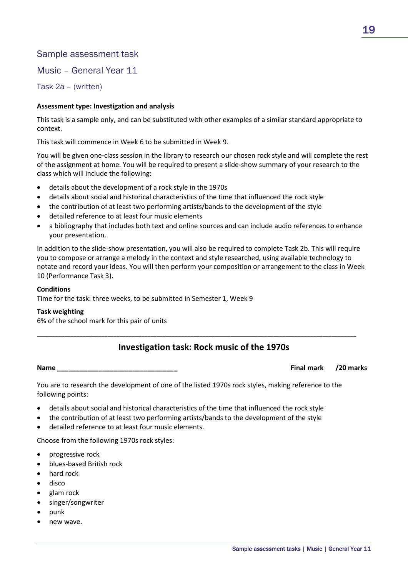Music – General Year 11

Task 2a – (written)

#### **Assessment type: Investigation and analysis**

This task is a sample only, and can be substituted with other examples of a similar standard appropriate to context.

This task will commence in Week 6 to be submitted in Week 9.

You will be given one-class session in the library to research our chosen rock style and will complete the rest of the assignment at home. You will be required to present a slide-show summary of your research to the class which will include the following:

- details about the development of a rock style in the 1970s
- details about social and historical characteristics of the time that influenced the rock style
- the contribution of at least two performing artists/bands to the development of the style
- detailed reference to at least four music elements
- a bibliography that includes both text and online sources and can include audio references to enhance your presentation.

In addition to the slide-show presentation, you will also be required to complete Task 2b. This will require you to compose or arrange a melody in the context and style researched, using available technology to notate and record your ideas. You will then perform your composition or arrangement to the class in Week 10 (Performance Task 3).

#### **Conditions**

Time for the task: three weeks, to be submitted in Semester 1, Week 9

#### **Task weighting**

6% of the school mark for this pair of units

### **Investigation task: Rock music of the 1970s**

\_\_\_\_\_\_\_\_\_\_\_\_\_\_\_\_\_\_\_\_\_\_\_\_\_\_\_\_\_\_\_\_\_\_\_\_\_\_\_\_\_\_\_\_\_\_\_\_\_\_\_\_\_\_\_\_\_\_\_\_\_\_\_\_\_\_\_\_\_\_\_\_\_\_\_\_\_\_\_\_\_\_\_\_\_\_\_\_\_\_\_\_\_\_\_\_\_\_\_\_\_\_\_\_

#### **Name \_\_\_\_\_\_\_\_\_\_\_\_\_\_\_\_\_\_\_\_\_\_\_\_\_\_\_\_\_\_\_\_ Final mark /20 marks**

You are to research the development of one of the listed 1970s rock styles, making reference to the following points:

- details about social and historical characteristics of the time that influenced the rock style
- the contribution of at least two performing artists/bands to the development of the style
- detailed reference to at least four music elements.

Choose from the following 1970s rock styles:

- progressive rock
- blues-based British rock
- hard rock
- disco
- glam rock
- singer/songwriter
- punk
- new wave.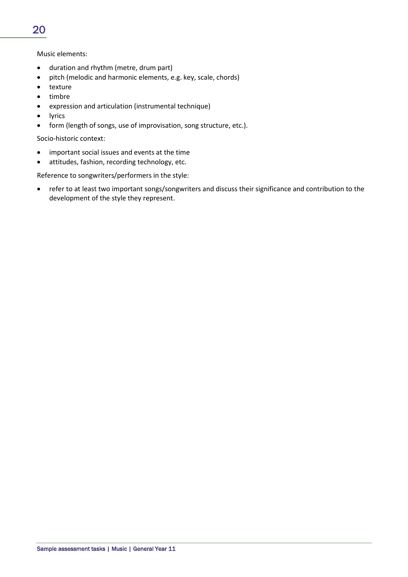#### Music elements:

- duration and rhythm (metre, drum part)
- pitch (melodic and harmonic elements, e.g. key, scale, chords)
- texture
- timbre
- expression and articulation (instrumental technique)
- lyrics
- form (length of songs, use of improvisation, song structure, etc.).

Socio-historic context:

- important social issues and events at the time
- attitudes, fashion, recording technology, etc.

Reference to songwriters/performers in the style:

• refer to at least two important songs/songwriters and discuss their significance and contribution to the development of the style they represent.

20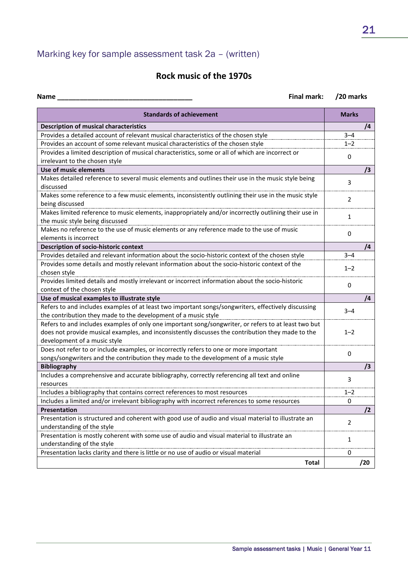# Marking key for sample assessment task 2a – (written)

# **Rock music of the 1970s**

| <b>Final mark:</b><br>Name                                                                                                              | /20 marks      |
|-----------------------------------------------------------------------------------------------------------------------------------------|----------------|
| <b>Standards of achievement</b>                                                                                                         | <b>Marks</b>   |
| <b>Description of musical characteristics</b>                                                                                           | /4             |
| Provides a detailed account of relevant musical characteristics of the chosen style                                                     | $3 - 4$        |
| Provides an account of some relevant musical characteristics of the chosen style                                                        | $1 - 2$        |
| Provides a limited description of musical characteristics, some or all of which are incorrect or                                        | 0              |
| irrelevant to the chosen style                                                                                                          |                |
| Use of music elements                                                                                                                   | /3             |
| Makes detailed reference to several music elements and outlines their use in the music style being<br>discussed                         | 3              |
| Makes some reference to a few music elements, inconsistently outlining their use in the music style<br>being discussed                  | 2              |
| Makes limited reference to music elements, inappropriately and/or incorrectly outlining their use in<br>the music style being discussed | 1              |
| Makes no reference to the use of music elements or any reference made to the use of music<br>elements is incorrect                      | 0              |
| Description of socio-historic context                                                                                                   | /4             |
| Provides detailed and relevant information about the socio-historic context of the chosen style                                         | $3 - 4$        |
| Provides some details and mostly relevant information about the socio-historic context of the                                           |                |
| chosen style                                                                                                                            | $1 - 2$        |
| Provides limited details and mostly irrelevant or incorrect information about the socio-historic<br>context of the chosen style         | 0              |
| Use of musical examples to illustrate style                                                                                             | /4             |
| Refers to and includes examples of at least two important songs/songwriters, effectively discussing                                     |                |
| the contribution they made to the development of a music style                                                                          | 3–4            |
| Refers to and includes examples of only one important song/songwriter, or refers to at least two but                                    |                |
| does not provide musical examples, and inconsistently discusses the contribution they made to the                                       | $1 - 2$        |
| development of a music style                                                                                                            |                |
| Does not refer to or include examples, or incorrectly refers to one or more important                                                   |                |
| songs/songwriters and the contribution they made to the development of a music style                                                    | 0              |
| <b>Bibliography</b>                                                                                                                     | $\sqrt{3}$     |
| Includes a comprehensive and accurate bibliography, correctly referencing all text and online                                           |                |
| resources                                                                                                                               | 3              |
| Includes a bibliography that contains correct references to most resources                                                              | $1 - 2$        |
| Includes a limited and/or irrelevant bibliography with incorrect references to some resources                                           | υ              |
| Presentation                                                                                                                            | /2             |
| Presentation is structured and coherent with good use of audio and visual material to illustrate an                                     | $\overline{2}$ |
| understanding of the style                                                                                                              |                |
| Presentation is mostly coherent with some use of audio and visual material to illustrate an                                             | 1              |
| understanding of the style                                                                                                              |                |
| Presentation lacks clarity and there is little or no use of audio or visual material                                                    | 0              |
| <b>Total</b>                                                                                                                            | /20            |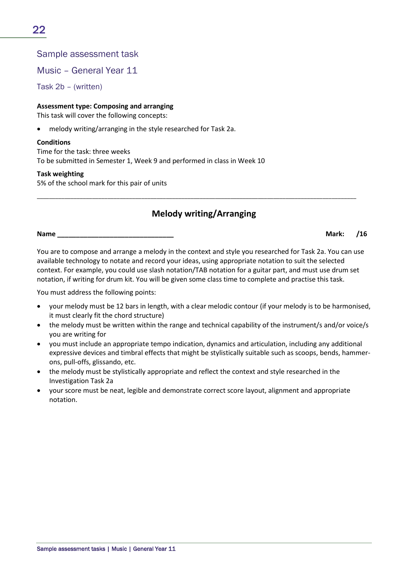Music – General Year 11

Task 2b – (written)

**Assessment type: Composing and arranging**

This task will cover the following concepts:

• melody writing/arranging in the style researched for Task 2a.

#### **Conditions**

Time for the task: three weeks To be submitted in Semester 1, Week 9 and performed in class in Week 10

#### **Task weighting**

5% of the school mark for this pair of units

# **Melody writing/Arranging**

\_\_\_\_\_\_\_\_\_\_\_\_\_\_\_\_\_\_\_\_\_\_\_\_\_\_\_\_\_\_\_\_\_\_\_\_\_\_\_\_\_\_\_\_\_\_\_\_\_\_\_\_\_\_\_\_\_\_\_\_\_\_\_\_\_\_\_\_\_\_\_\_\_\_\_\_\_\_\_\_\_\_\_\_\_\_\_\_\_\_\_\_\_\_\_\_\_\_\_\_\_\_\_\_

**Name \_\_\_\_\_\_\_\_\_\_\_\_\_\_\_\_\_\_\_\_\_\_\_\_\_\_\_\_\_\_\_ Mark: /16**

You are to compose and arrange a melody in the context and style you researched for Task 2a. You can use available technology to notate and record your ideas, using appropriate notation to suit the selected context. For example, you could use slash notation/TAB notation for a guitar part, and must use drum set notation, if writing for drum kit. You will be given some class time to complete and practise this task.

You must address the following points:

- your melody must be 12 bars in length, with a clear melodic contour (if your melody is to be harmonised, it must clearly fit the chord structure)
- the melody must be written within the range and technical capability of the instrument/s and/or voice/s you are writing for
- you must include an appropriate tempo indication, dynamics and articulation, including any additional expressive devices and timbral effects that might be stylistically suitable such as scoops, bends, hammerons, pull-offs, glissando, etc.
- the melody must be stylistically appropriate and reflect the context and style researched in the Investigation Task 2a
- your score must be neat, legible and demonstrate correct score layout, alignment and appropriate notation.

22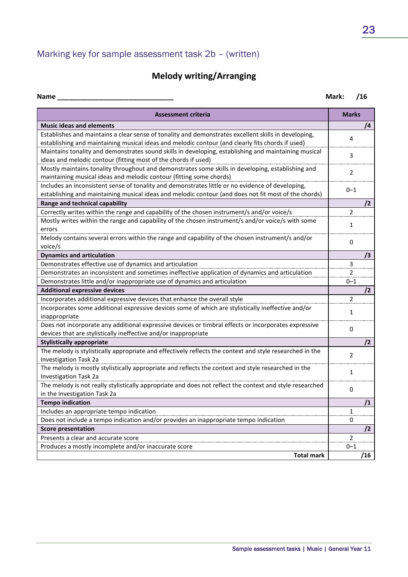# Marking key for sample assessment task 2b – (written)

# **Melody writing/Arranging**

| <b>Name</b>                                                                                              | Mark:          | /16        |
|----------------------------------------------------------------------------------------------------------|----------------|------------|
| <b>Assessment criteria</b>                                                                               | <b>Marks</b>   |            |
| <b>Music ideas and elements</b>                                                                          |                | /4         |
| Establishes and maintains a clear sense of tonality and demonstrates excellent skills in developing,     | 4              |            |
| establishing and maintaining musical ideas and melodic contour (and clearly fits chords if used)         |                |            |
| Maintains tonality and demonstrates sound skills in developing, establishing and maintaining musical     | 3              |            |
| ideas and melodic contour (fitting most of the chords if used)                                           |                |            |
| Mostly maintains tonality throughout and demonstrates some skills in developing, establishing and        | $\overline{2}$ |            |
| maintaining musical ideas and melodic contour (fitting some chords)                                      |                |            |
| Includes an inconsistent sense of tonality and demonstrates little or no evidence of developing,         | $0 - 1$        |            |
| establishing and maintaining musical ideas and melodic contour (and does not fit most of the chords)     |                |            |
| Range and technical capability                                                                           |                | $\sqrt{2}$ |
| Correctly writes within the range and capability of the chosen instrument/s and/or voice/s               | $\overline{2}$ |            |
| Mostly writes within the range and capability of the chosen instrument/s and/or voice/s with some        | 1              |            |
| errors                                                                                                   |                |            |
| Melody contains several errors within the range and capability of the chosen instrument/s and/or         | $\mathbf 0$    |            |
| voice/s                                                                                                  |                |            |
| <b>Dynamics and articulation</b>                                                                         |                | /3         |
| Demonstrates effective use of dynamics and articulation                                                  | 3              |            |
| Demonstrates an inconsistent and sometimes ineffective application of dynamics and articulation          | $\overline{2}$ |            |
| Demonstrates little and/or inappropriate use of dynamics and articulation                                | $0 - 1$        |            |
| <b>Additional expressive devices</b>                                                                     |                | /2         |
| Incorporates additional expressive devices that enhance the overall style                                | 2              |            |
| Incorporates some additional expressive devices some of which are stylistically ineffective and/or       | 1              |            |
| inappropriate                                                                                            |                |            |
| Does not incorporate any additional expressive devices or timbral effects or incorporates expressive     | 0              |            |
| devices that are stylistically ineffective and/or inappropriate                                          |                |            |
| <b>Stylistically appropriate</b>                                                                         |                | $\sqrt{2}$ |
| The melody is stylistically appropriate and effectively reflects the context and style researched in the | 2              |            |
| <b>Investigation Task 2a</b>                                                                             |                |            |
| The melody is mostly stylistically appropriate and reflects the context and style researched in the      | 1              |            |
| Investigation Task 2a                                                                                    |                |            |
| The melody is not really stylistically appropriate and does not reflect the context and style researched | $\mathbf 0$    |            |
| in the Investigation Task 2a                                                                             |                |            |
| <b>Tempo indication</b>                                                                                  |                | /1         |
| Includes an appropriate tempo indication                                                                 | $\mathbf{1}$   |            |
| Does not include a tempo indication and/or provides an inappropriate tempo indication                    | 0              |            |
| <b>Score presentation</b>                                                                                |                | /2         |
| Presents a clear and accurate score                                                                      | $\overline{2}$ |            |
| Produces a mostly incomplete and/or inaccurate score                                                     | $0 - 1$        |            |
| <b>Total mark</b>                                                                                        |                | /16        |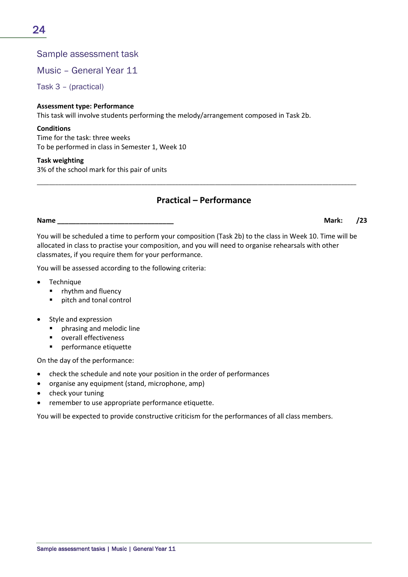Music – General Year 11

Task 3 – (practical)

#### **Assessment type: Performance**

This task will involve students performing the melody/arrangement composed in Task 2b.

#### **Conditions**

Time for the task: three weeks To be performed in class in Semester 1, Week 10

#### **Task weighting**

3% of the school mark for this pair of units

### **Practical – Performance**

\_\_\_\_\_\_\_\_\_\_\_\_\_\_\_\_\_\_\_\_\_\_\_\_\_\_\_\_\_\_\_\_\_\_\_\_\_\_\_\_\_\_\_\_\_\_\_\_\_\_\_\_\_\_\_\_\_\_\_\_\_\_\_\_\_\_\_\_\_\_\_\_\_\_\_\_\_\_\_\_\_\_\_\_\_\_\_\_\_\_\_\_\_\_\_\_\_\_\_\_\_\_\_\_

**Name \_\_\_\_\_\_\_\_\_\_\_\_\_\_\_\_\_\_\_\_\_\_\_\_\_\_\_\_\_\_\_ Mark: /23**

You will be scheduled a time to perform your composition (Task 2b) to the class in Week 10. Time will be allocated in class to practise your composition, and you will need to organise rehearsals with other classmates, if you require them for your performance.

You will be assessed according to the following criteria:

- **Technique** 
	- **F** rhythm and fluency
	- **pitch and tonal control**
- Style and expression
	- **•** phrasing and melodic line
	- overall effectiveness
	- **Parager Formance etiquette**

On the day of the performance:

- check the schedule and note your position in the order of performances
- organise any equipment (stand, microphone, amp)
- check your tuning
- remember to use appropriate performance etiquette.

You will be expected to provide constructive criticism for the performances of all class members.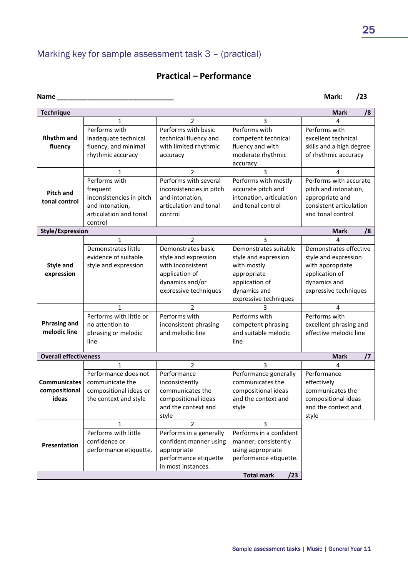# Marking key for sample assessment task 3 – (practical)

# **Practical – Performance**

|                                                                                                                                                                                                                                  |                          |                          |                          | /8<br><b>Mark</b>           |  |  |
|----------------------------------------------------------------------------------------------------------------------------------------------------------------------------------------------------------------------------------|--------------------------|--------------------------|--------------------------|-----------------------------|--|--|
|                                                                                                                                                                                                                                  | $\mathbf{1}$             | 2                        | 3                        | 4                           |  |  |
| <b>Rhythm and</b>                                                                                                                                                                                                                | Performs with            | Performs with basic      | Performs with            | Performs with               |  |  |
|                                                                                                                                                                                                                                  | inadequate technical     | technical fluency and    | competent technical      | excellent technical         |  |  |
|                                                                                                                                                                                                                                  | fluency, and minimal     | with limited rhythmic    | fluency and with         | skills and a high degree    |  |  |
|                                                                                                                                                                                                                                  | rhythmic accuracy        | accuracy                 | moderate rhythmic        | of rhythmic accuracy        |  |  |
|                                                                                                                                                                                                                                  |                          |                          | accuracy                 |                             |  |  |
|                                                                                                                                                                                                                                  | 1                        | 2                        | 3                        | 4<br>Performs with accurate |  |  |
|                                                                                                                                                                                                                                  | Performs with            | Performs with several    | Performs with mostly     |                             |  |  |
| <b>Pitch and</b>                                                                                                                                                                                                                 | frequent                 | inconsistencies in pitch | accurate pitch and       | pitch and intonation,       |  |  |
| tonal control                                                                                                                                                                                                                    | inconsistencies in pitch | and intonation,          | intonation, articulation | appropriate and             |  |  |
|                                                                                                                                                                                                                                  | and intonation,          | articulation and tonal   | and tonal control        | consistent articulation     |  |  |
|                                                                                                                                                                                                                                  | articulation and tonal   | control                  |                          | and tonal control           |  |  |
|                                                                                                                                                                                                                                  | control                  |                          |                          |                             |  |  |
|                                                                                                                                                                                                                                  |                          |                          |                          | <b>Mark</b><br>/8           |  |  |
| <b>Technique</b><br>fluency<br><b>Style/Expression</b><br><b>Style and</b><br>expression<br><b>Phrasing and</b><br>melodic line<br><b>Overall effectiveness</b><br><b>Communicates</b><br>compositional<br>ideas<br>Presentation | $\mathbf{1}$             | $\overline{2}$           | 3                        |                             |  |  |
|                                                                                                                                                                                                                                  | Demonstrates little      | Demonstrates basic       | Demonstrates suitable    | Demonstrates effective      |  |  |
|                                                                                                                                                                                                                                  | evidence of suitable     | style and expression     | style and expression     | style and expression        |  |  |
|                                                                                                                                                                                                                                  | style and expression     | with inconsistent        | with mostly              | with appropriate            |  |  |
|                                                                                                                                                                                                                                  |                          | application of           | appropriate              | application of              |  |  |
|                                                                                                                                                                                                                                  |                          | dynamics and/or          | application of           | dynamics and                |  |  |
|                                                                                                                                                                                                                                  |                          | expressive techniques    | dynamics and             | expressive techniques       |  |  |
|                                                                                                                                                                                                                                  |                          |                          | expressive techniques    |                             |  |  |
|                                                                                                                                                                                                                                  | 1                        | 2                        | 3                        | 4                           |  |  |
|                                                                                                                                                                                                                                  | Performs with little or  | Performs with            | Performs with            | Performs with               |  |  |
|                                                                                                                                                                                                                                  | no attention to          | inconsistent phrasing    | competent phrasing       | excellent phrasing and      |  |  |
|                                                                                                                                                                                                                                  | phrasing or melodic      | and melodic line         | and suitable melodic     | effective melodic line      |  |  |
|                                                                                                                                                                                                                                  | line                     |                          | line                     |                             |  |  |
|                                                                                                                                                                                                                                  |                          |                          |                          | <b>Mark</b><br>$\sqrt{7}$   |  |  |
|                                                                                                                                                                                                                                  | 1                        | 2                        | 3                        | 4                           |  |  |
|                                                                                                                                                                                                                                  | Performance does not     | Performance              | Performance generally    | Performance                 |  |  |
|                                                                                                                                                                                                                                  | communicate the          | inconsistently           | communicates the         | effectively                 |  |  |
|                                                                                                                                                                                                                                  | compositional ideas or   | communicates the         | compositional ideas      | communicates the            |  |  |
|                                                                                                                                                                                                                                  | the context and style    | compositional ideas      | and the context and      | compositional ideas         |  |  |
|                                                                                                                                                                                                                                  |                          | and the context and      | style                    | and the context and         |  |  |
|                                                                                                                                                                                                                                  |                          | style                    |                          | style                       |  |  |
|                                                                                                                                                                                                                                  | 1                        | $\overline{2}$           | 3                        |                             |  |  |
|                                                                                                                                                                                                                                  | Performs with little     | Performs in a generally  | Performs in a confident  |                             |  |  |
|                                                                                                                                                                                                                                  | confidence or            | confident manner using   | manner, consistently     |                             |  |  |
|                                                                                                                                                                                                                                  | performance etiquette.   | appropriate              | using appropriate        |                             |  |  |
|                                                                                                                                                                                                                                  |                          | performance etiquette    | performance etiquette.   |                             |  |  |
|                                                                                                                                                                                                                                  |                          | in most instances.       |                          |                             |  |  |
|                                                                                                                                                                                                                                  | <b>Total mark</b><br>/23 |                          |                          |                             |  |  |

**Name \_\_\_\_\_\_\_\_\_\_\_\_\_\_\_\_\_\_\_\_\_\_\_\_\_\_\_\_\_\_\_ Mark: /23**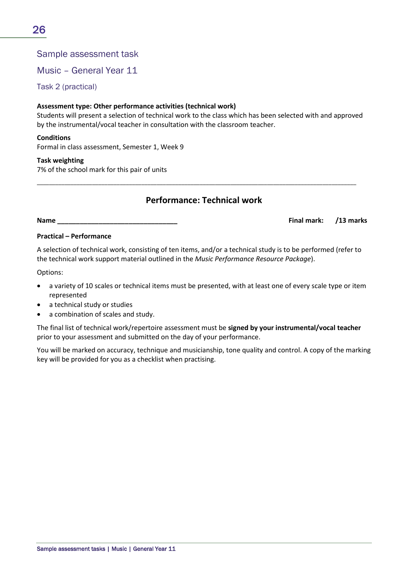Music – General Year 11

Task 2 (practical)

### **Assessment type: Other performance activities (technical work)**

Students will present a selection of technical work to the class which has been selected with and approved by the instrumental/vocal teacher in consultation with the classroom teacher.

#### **Conditions**

Formal in class assessment, Semester 1, Week 9

#### **Task weighting**

7% of the school mark for this pair of units

### **Performance: Technical work**

\_\_\_\_\_\_\_\_\_\_\_\_\_\_\_\_\_\_\_\_\_\_\_\_\_\_\_\_\_\_\_\_\_\_\_\_\_\_\_\_\_\_\_\_\_\_\_\_\_\_\_\_\_\_\_\_\_\_\_\_\_\_\_\_\_\_\_\_\_\_\_\_\_\_\_\_\_\_\_\_\_\_\_\_\_\_\_\_\_\_\_\_\_\_\_\_\_\_\_\_\_\_\_\_

**Name \_\_\_\_\_\_\_\_\_\_\_\_\_\_\_\_\_\_\_\_\_\_\_\_\_\_\_\_\_\_\_\_ Final mark: /13 marks**

#### **Practical – Performance**

A selection of technical work, consisting of ten items, and/or a technical study is to be performed (refer to the technical work support material outlined in the *Music Performance Resource Package*).

Options:

- a variety of 10 scales or technical items must be presented, with at least one of every scale type or item represented
- a technical study or studies
- a combination of scales and study.

The final list of technical work/repertoire assessment must be **signed by your instrumental/vocal teacher** prior to your assessment and submitted on the day of your performance.

You will be marked on accuracy, technique and musicianship, tone quality and control. A copy of the marking key will be provided for you as a checklist when practising.

26